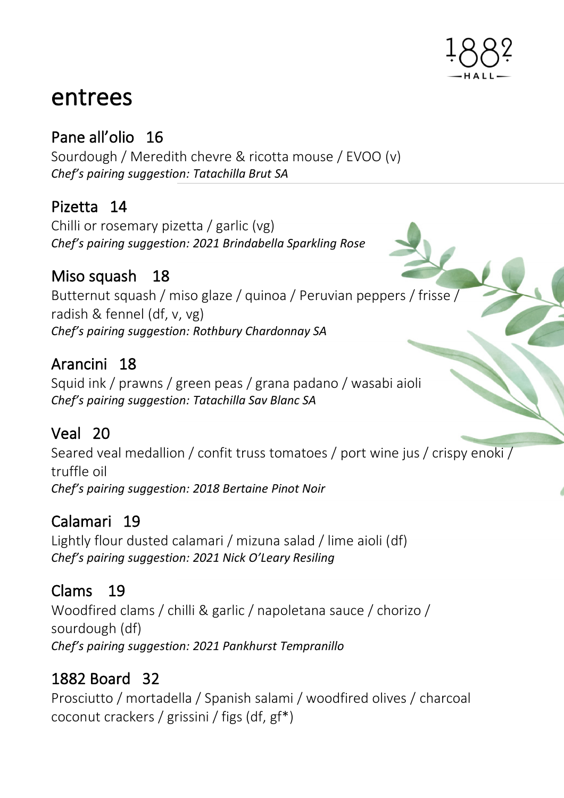

# entrees

# Pane all'olio 16

Sourdough / Meredith chevre & ricotta mouse / EVOO (v) *Chef's pairing suggestion: Tatachilla Brut SA*

## Pizetta 14

Chilli or rosemary pizetta / garlic (vg) *Chef's pairing suggestion: 2021 Brindabella Sparkling Rose* 

## Miso squash 18

Butternut squash / miso glaze / quinoa / Peruvian peppers / frisse / radish & fennel (df, v, vg) *Chef's pairing suggestion: Rothbury Chardonnay SA*

## Arancini 18

Squid ink / prawns / green peas / grana padano / wasabi aioli *Chef's pairing suggestion: Tatachilla Sav Blanc SA*

## Veal 20

Seared veal medallion / confit truss tomatoes / port wine jus / crispy enoki / truffle oil *Chef's pairing suggestion: 2018 Bertaine Pinot Noir* 

## Calamari 19

Lightly flour dusted calamari / mizuna salad / lime aioli (df) *Chef's pairing suggestion: 2021 Nick O'Leary Resiling* 

## Clams 19

Woodfired clams / chilli & garlic / napoletana sauce / chorizo / sourdough (df) *Chef's pairing suggestion: 2021 Pankhurst Tempranillo* 

## 1882 Board 32

Prosciutto / mortadella / Spanish salami / woodfired olives / charcoal coconut crackers / grissini / figs (df, gf\*)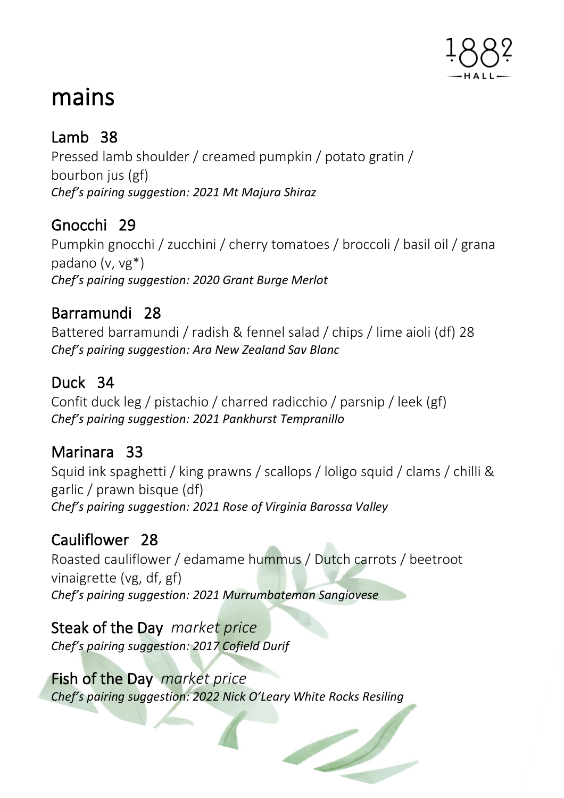

# mains

# Lamb 38

Pressed lamb shoulder / creamed pumpkin / potato gratin / bourbon jus (gf) *Chef's pairing suggestion: 2021 Mt Majura Shiraz* 

## Gnocchi 29

Pumpkin gnocchi / zucchini / cherry tomatoes / broccoli / basil oil / grana padano (v, vg\*) *Chef's pairing suggestion: 2020 Grant Burge Merlot* 

## Barramundi 28

Battered barramundi / radish & fennel salad / chips / lime aioli (df) 28 *Chef's pairing suggestion: Ara New Zealand Sav Blanc* 

## Duck 34

Confit duck leg / pistachio / charred radicchio / parsnip / leek (gf) *Chef's pairing suggestion: 2021 Pankhurst Tempranillo*

## Marinara 33

Squid ink spaghetti / king prawns / scallops / loligo squid / clams / chilli & garlic / prawn bisque (df) *Chef's pairing suggestion: 2021 Rose of Virginia Barossa Valley* 

# Cauliflower 28

Roasted cauliflower / edamame hummus / Dutch carrots / beetroot vinaigrette (vg, df, gf) *Chef's pairing suggestion: 2021 Murrumbateman Sangiovese* 

## Steak of the Day *market price*

*Chef's pairing suggestion: 2017 Cofield Durif*

## Fish of the Day *market price*

*Chef's pairing suggestion: 2022 Nick O'Leary White Rocks Resiling*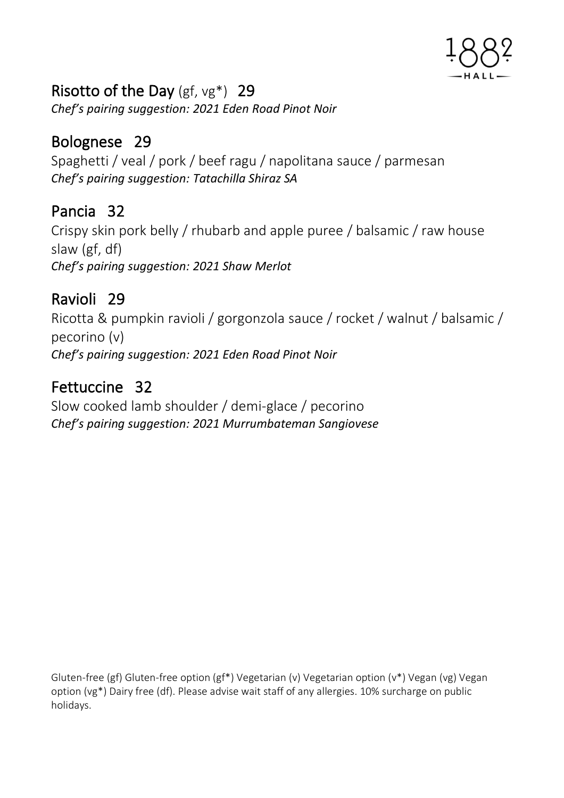

## Risotto of the Day (gf, vg\*) 29

*Chef's pairing suggestion: 2021 Eden Road Pinot Noir* 

## Bolognese 29

Spaghetti / veal / pork / beef ragu / napolitana sauce / parmesan *Chef's pairing suggestion: Tatachilla Shiraz SA* 

## Pancia 32

Crispy skin pork belly / rhubarb and apple puree / balsamic / raw house slaw (gf, df) *Chef's pairing suggestion: 2021 Shaw Merlot* 

## Ravioli 29

Ricotta & pumpkin ravioli / gorgonzola sauce / rocket / walnut / balsamic / pecorino (v) *Chef's pairing suggestion: 2021 Eden Road Pinot Noir* 

# Fettuccine 32

Slow cooked lamb shoulder / demi-glace / pecorino *Chef's pairing suggestion: 2021 Murrumbateman Sangiovese* 

Gluten-free (gf) Gluten-free option (gf\*) Vegetarian (v) Vegetarian option (v\*) Vegan (vg) Vegan option (vg\*) Dairy free (df). Please advise wait staff of any allergies. 10% surcharge on public holidays.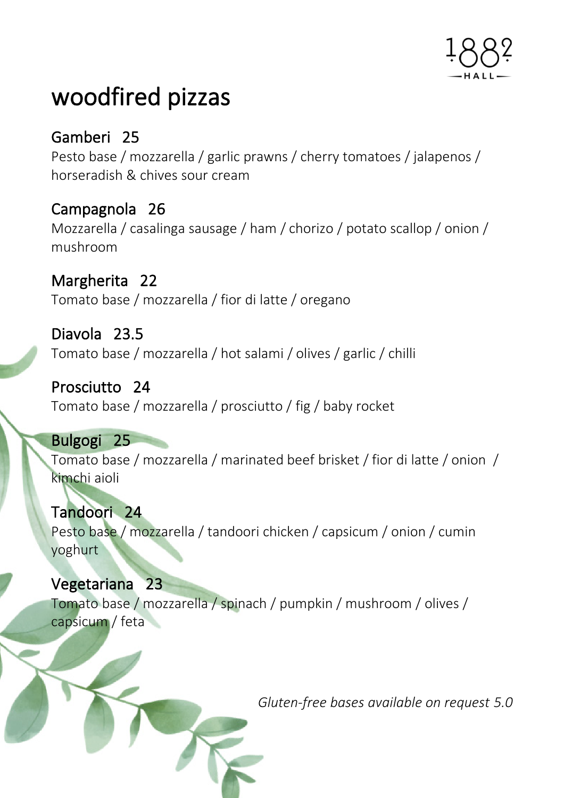

# woodfired pizzas

Gamberi 25 Pesto base / mozzarella / garlic prawns / cherry tomatoes / jalapenos / horseradish & chives sour cream

## Campagnola 26

Mozzarella / casalinga sausage / ham / chorizo / potato scallop / onion / mushroom

Margherita 22 Tomato base / mozzarella / fior di latte / oregano

Diavola 23.5 Tomato base / mozzarella / hot salami / olives / garlic / chilli

Prosciutto 24 Tomato base / mozzarella / prosciutto / fig / baby rocket

#### Bulgogi 25

Tomato base / mozzarella / marinated beef brisket / fior di latte / onion / kimchi aioli

Tandoori 24 Pesto base / mozzarella / tandoori chicken / capsicum / onion / cumin yoghurt

١ Vegetariana 23 Tomato base / mozzarella / spinach / pumpkin / mushroom / olives / capsicum / feta

*Gluten-free bases available on request 5.0*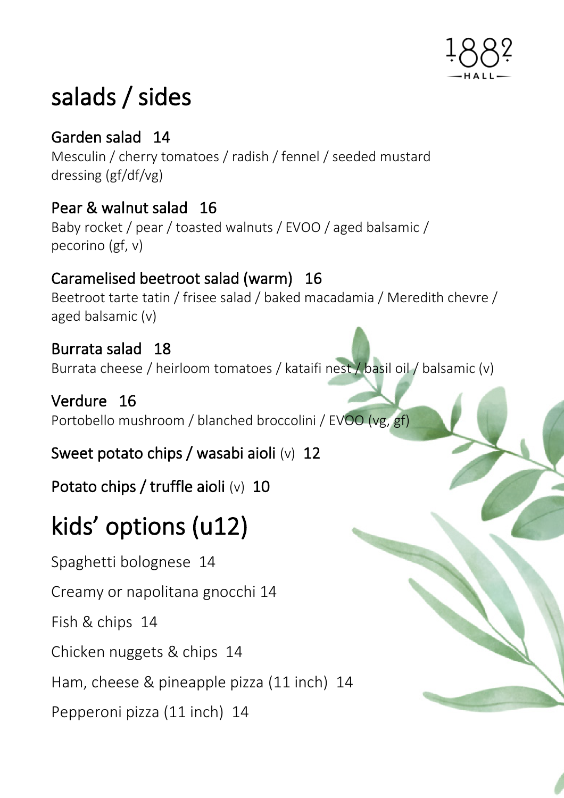

# salads / sides

## Garden salad 14

Mesculin / cherry tomatoes / radish / fennel / seeded mustard dressing (gf/df/vg)

# Pear & walnut salad 16

Baby rocket / pear / toasted walnuts / EVOO / aged balsamic / pecorino (gf, v)

# Caramelised beetroot salad (warm) 16

Beetroot tarte tatin / frisee salad / baked macadamia / Meredith chevre / aged balsamic (v)

## Burrata salad 18

Burrata cheese / heirloom tomatoes / kataifi nest / basil oil / balsamic (v)

## Verdure 16

Portobello mushroom / blanched broccolini / EVOO (vg, gf)

## Sweet potato chips / wasabi aioli (v) 12

Potato chips / truffle aioli (v) 10

# kids' options (u12)

Spaghetti bolognese 14

Creamy or napolitana gnocchi 14

Fish & chips 14

Chicken nuggets & chips 14

Ham, cheese & pineapple pizza (11 inch) 14

Pepperoni pizza (11 inch) 14